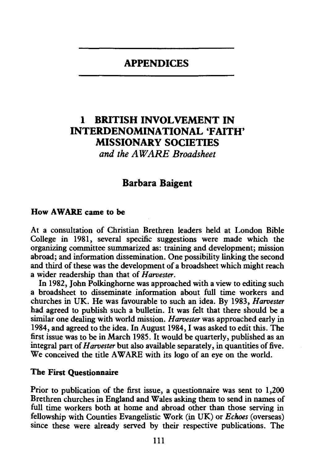# APPENDICES

# 1 BRITISH INVOLVEMENT IN INTERDENOMINATIONAL 'FAITH' MISSIONARY SOCIETIES *and the AWARE Broadsheet*

# Barbara Baigent

### How AWARE came to be

At a consultation of Christian Brethren leaders held at London Bible College in 1981, several specific suggestions were made which the organizing committee summarized as: training and development; mission abroad; and information dissemination. One possibility linking the second and third of these was the development of a broadsheet which might reach a wider readership than that of *Harvester.* 

In 1982, John Polkinghome was approached with a view to editing such a broadsheet to disseminate information about full time workers and churches in UK. He was favourable to such an idea. By 1983, *Harvester*  had agreed to publish such a bulletin. It was felt that there should be a similar one dealing with world mission. *Harvester* was approached early in 1984, and agreed to the idea. In August 1984, I was asked to edit this. The first issue was to be in March 1985. It would be quarterly, published as an integral part of *Harvester* but also available separately, in quantities of five. We conceived the title AWARE with its logo of an eye on the world.

### The First Questionnaire

Prior to publication of the first issue, a questionnaire was sent to 1,200 Brethren churches in England and Wales asking them to send in names of full time workers both at home and abroad other than those serving in fellowship with Counties Evangelistic Work (in UK) or *Echoes* (overseas) since these were already served by their respective publications. The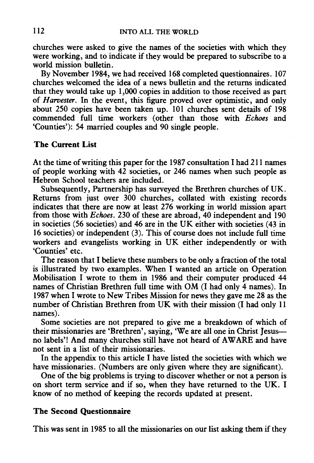churches were asked to give the names of the societies with which they were working, and to indicate if they would be prepared to subscribe to a world mission bulletin.

By November 1984, we had received 168 completed questionnaires. 107 churches welcomed the idea of a news bulletin and the returns indicated that they would take up 1,000 copies in addition to those received as part of *Harvester.* In the event, this figure proved over optimistic, and only about 250 copies have been taken up. 101 churches sent details of 198 commended full time workers (other than those with *Echoes* and 'Counties'): 54 married couples and 90 single people.

## **The Current List**

At the time of writing this paper for the 1987 consultation I had 211 names of people working with 42 societies, or 246 names when such people as Hebron School teachers are included.

Subsequently, Partnership has surveyed the Brethren churches of UK. Returns from just over 300 churches, collated with existing records indicates that there are now at least 276 working in world mission apart from those with *Echoes.* 230 of these are abroad, 40 independent and 190 in societies (56 societies) and 46 are in the UK either with societies (43 in 16 societies) or independent (3). This of course does not include full time workers and evangelists working in UK either independently or with 'Counties' etc.

The reason that I believe these numbers to be only a fraction of the total is illustrated by two examples. When I wanted an article on Operation Mobilisation I wrote to them in 1986 and their computer produced 44 names of Christian Brethren full time with OM (I had only 4 names). In 1987 when I wrote to New Tribes Mission for news they gave me 28 as the number of Christian Brethren from UK with their mission (I had only 11 names).

Some societies are not prepared to give me a breakdown of which of their missionaries are 'Brethren', saying, 'We are all one in Christ Jesusno labels'! And many churches still have not heard of AWARE and have not sent in a list of their missionaries.

In the appendix to this article I have listed the societies with which we have missionaries. (Numbers are only given where they are significant).

One of the big problems is trying to discover whether or not a person is on short term service and if so, when they have returned to the UK. I know of no method of keeping the records updated at present.

## **The Second Questionnaire**

This was sent in 1985 to all the missionaries on our list asking them if they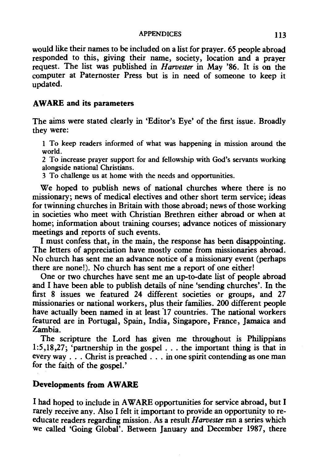#### APPENDICES 113

would like their names to be included on a list for prayer. 65 people abroad responded to this, giving their name, society, location and a prayer request. The list was published in *Harvester* in May '86. It is on the computer at Paternoster Press but is in need of someone to keep it updated.

### AWARE and its parameters

The aims were stated clearly in 'Editor's Eye' of the first issue. Broadly they were:

1 To keep readers informed of what was happening in mission around the world.

2 To increase prayer support for and fellowship with God's servants working alongside national Christians.

3 To challenge us at home with the needs and opportunities.

We hoped to publish news of national churches where there is no missionary; news of medical electives and other short term service; ideas for twinning churches in Britain with those abroad; news of those working in societies who meet with Christian Brethren either abroad or when at home; information about training courses; advance notices of missionary meetings and reports of such events.

I must confess that, in the main, the response has been disappointing. The letters of appreciation have mostly come from missionaries abroad. No church has sent me an advance notice of a missionary event (perhaps there are none!). No church has sent me a report of one either!

One or two churches have sent me an up-to-date list of people abroad and I have been able to publish details of nine 'sending churches'. In the first 8 issues we featured 24 different societies or groups, and 27 missionaries or national workers, plus their families. 200 different people have actually been named in at least 17 countries. The national workers featured are in Portugal, Spain, India, Singapore, France, Jamaica and Zambia.

The scripture the Lord has given me throughout is Philippians 1:5,18,27; 'partnership in the gospel ... the important thing is that in every way . . . Christ is preached . . . in one spirit contending as one man for the faith of the gospel.'

# Developments from AWARE

I had hoped to include in AWARE opportunities for service abroad, but I rarely receive any. Also I felt it important to provide an opportunity to reeducate readers regarding mission. As a result *Harvester* ran a series which we called 'Going Global'. Between January and December 1987, there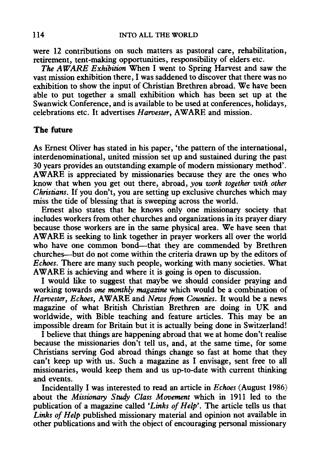were 12 contributions on such matters as pastoral care, rehabilitation, retirement, tent-making opportunities, responsibility of elders etc.

*The AWARE Exhibition* When I went to Spring Harvest and saw the vast mission exhibition there, I was saddened to discover that there was no exhibition to show the input of Christian Brethren abroad. We have been able to put together a small exhibition which has been set up at the Swanwick Conference, and is available to be used at conferences, holidays, celebrations etc. It advertises *Harvester,* A WARE and mission.

## The future

As Ernest Oliver has stated in his paper, 'the pattern of the international, interdenominational, united mission set up and sustained during the past 30 years provides an outstanding example of modem missionary method'. AWARE is appreciated by missionaries because they are the ones who know that when you get out there, abroad, *you work together with other Christians.* If you don't, you are setting up exclusive churches which may miss the tide of blessing that is sweeping across the world.

Emest also states that he knows only one missionary society that includes workers from other churches and organizations in its prayer diary because those workers are in the same physical area. We have seen that AWARE is seeking to link together in prayer workers all over the world who have one common bond—that they are commended by Brethren churches--but do not come within the criteria drawn up by the editors of *Echoes.* There are many such people, working with many societies. What AWARE is achieving and where it is going is open to discussion.

I would like to suggest that maybe we should consider praying and working towards *one monthly magazine* which would be a combination of *Harvester, Echoes,* A WARE and *News from Counties.* It would be a news magazine of what British Christian Brethren are doing in UK and worldwide, with Bible teaching and feature articles. This may be an impossible dream for Britain but it is actually being done in Switzerland!

I believe that things are happening abroad that we at home don't realise because the missionaries don't tell us, and, at the same time, for some Christians serving God abroad things change so fast at home that they can't keep up with us. Such a magazine as I envisage, sent free to all missionaries, would keep them and us up-to-date with current thinking and events.

Incidentally I was interested to read an article in *Echoes* (August 1986) about the *Missionary Study Class Movement* which in 1911 led to the publication of a magazine called *'Links of Help'.* The article tells us that *Links of Help* published missionary material and opinion not available in other publications and with the object of encouraging personal missionary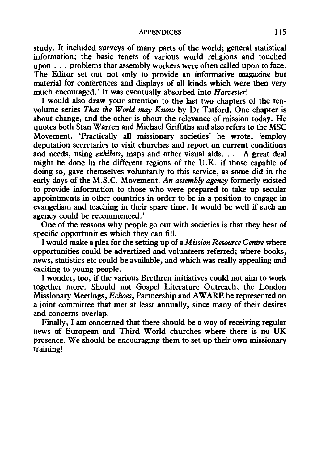#### APPENDICES 115

study. It included surveys of many parts of the world; general statistical information; the basic tenets of various world religions and touched upon ... problems that assembly workers were often called upon to face. The Editor set out not only to provide an informative magazine but material for conferences and displays of all kinds which were then very much encouraged.' It was eventually absorbed into *Harvester!* 

I would also draw your attention to the last two chapters of the tenvolume series *That the World may Know* by Dr Tatford. One chapter is about change, and the other is about the relevance of mission today. He quotes both Stan Warren and Michael Griffiths and also refers to the MSC Movement. 'Practically all missionary societies' he wrote, 'employ deputation secretaries to visit churches and report on current conditions and needs, using *exhibits*, maps and other visual aids. . . . A great deal might be done in the different regions of the U.K. if those capable of doing so, gave themselves voluntarily to this service, as some did in the early days of the M.S.C. Movement. *An assembly agency* formerly existed to provide information to those who were prepared to take up secular appointments in other countries in order to be in a position to engage in evangelism and teaching in their spare time. It would be well if such an agency could be recommenced.'

One of the reasons why people go out with societies is that they hear of specific opportunities which they can fill.

I would make a plea for the setting up of a *Mission Resource Centre* where opportunities could be advertized and volunteers referred; where books, news, statistics etc could be available, and which was really appealing and exciting to young people.

I wonder, too, if the various Brethren initiatives could not aim to work together more. Should not Gospel Literature Outreach, the London Missionary Meetings, *Echoes,* Partnership and A WARE be represented on a joint committee that met at least annually, since many of their desires and concerns overlap.

Finally, I am concerned that there should be a way of receiving regular news of European and Third World churches where there is no UK presence. We should be encouraging them to set up their own missionary training!